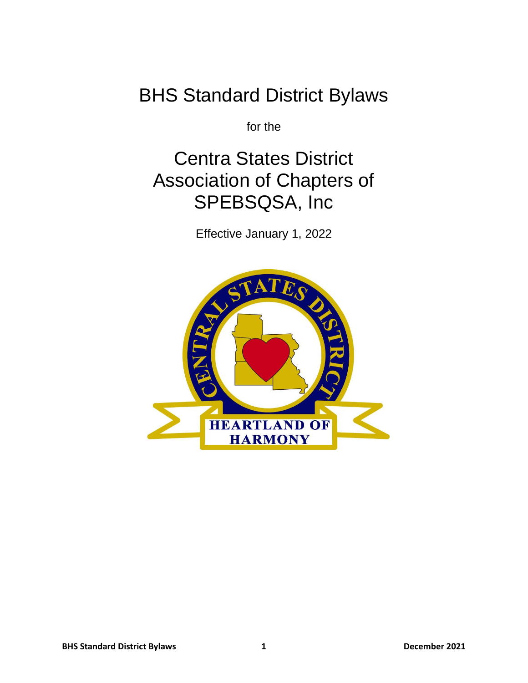# BHS Standard District Bylaws

for the

# Centra States District Association of Chapters of SPEBSQSA, Inc

Effective January 1, 2022

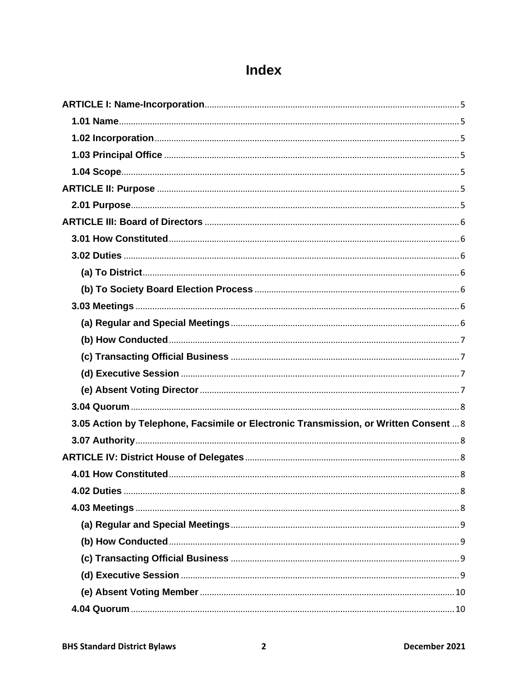## Index

| 3.05 Action by Telephone, Facsimile or Electronic Transmission, or Written Consent  8 |  |
|---------------------------------------------------------------------------------------|--|
|                                                                                       |  |
|                                                                                       |  |
|                                                                                       |  |
|                                                                                       |  |
|                                                                                       |  |
|                                                                                       |  |
|                                                                                       |  |
|                                                                                       |  |
|                                                                                       |  |
|                                                                                       |  |
|                                                                                       |  |
|                                                                                       |  |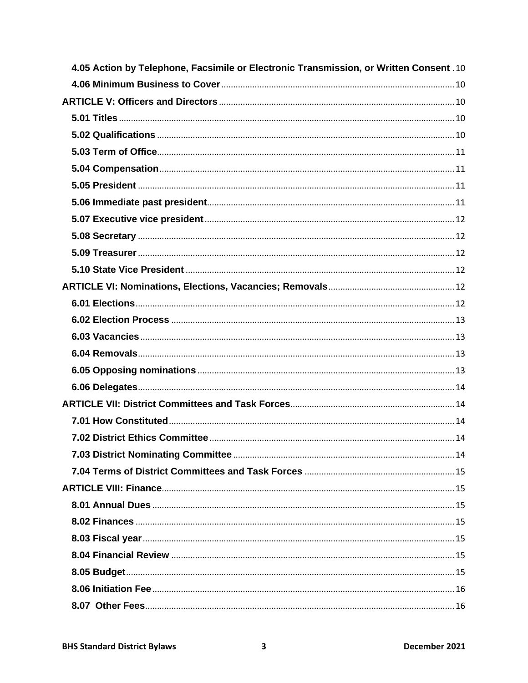| 4.05 Action by Telephone, Facsimile or Electronic Transmission, or Written Consent .10 |  |
|----------------------------------------------------------------------------------------|--|
|                                                                                        |  |
|                                                                                        |  |
|                                                                                        |  |
|                                                                                        |  |
|                                                                                        |  |
|                                                                                        |  |
|                                                                                        |  |
|                                                                                        |  |
|                                                                                        |  |
|                                                                                        |  |
|                                                                                        |  |
|                                                                                        |  |
|                                                                                        |  |
|                                                                                        |  |
|                                                                                        |  |
|                                                                                        |  |
|                                                                                        |  |
|                                                                                        |  |
|                                                                                        |  |
|                                                                                        |  |
|                                                                                        |  |
|                                                                                        |  |
|                                                                                        |  |
|                                                                                        |  |
|                                                                                        |  |
|                                                                                        |  |
|                                                                                        |  |
|                                                                                        |  |
|                                                                                        |  |
|                                                                                        |  |
|                                                                                        |  |
|                                                                                        |  |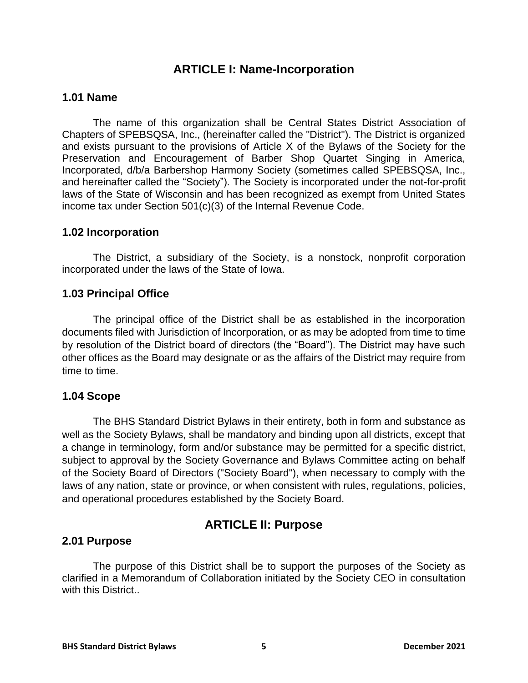## **ARTICLE I: Name-Incorporation**

#### <span id="page-4-1"></span><span id="page-4-0"></span>**1.01 Name**

The name of this organization shall be Central States District Association of Chapters of SPEBSQSA, Inc., (hereinafter called the "District"). The District is organized and exists pursuant to the provisions of Article X of the Bylaws of the Society for the Preservation and Encouragement of Barber Shop Quartet Singing in America, Incorporated, d/b/a Barbershop Harmony Society (sometimes called SPEBSQSA, Inc., and hereinafter called the "Society"). The Society is incorporated under the not-for-profit laws of the State of Wisconsin and has been recognized as exempt from United States income tax under Section 501(c)(3) of the Internal Revenue Code.

#### <span id="page-4-2"></span>**1.02 Incorporation**

The District, a subsidiary of the Society, is a nonstock, nonprofit corporation incorporated under the laws of the State of Iowa.

## <span id="page-4-3"></span>**1.03 Principal Office**

The principal office of the District shall be as established in the incorporation documents filed with Jurisdiction of Incorporation, or as may be adopted from time to time by resolution of the District board of directors (the "Board"). The District may have such other offices as the Board may designate or as the affairs of the District may require from time to time.

#### <span id="page-4-4"></span>**1.04 Scope**

The BHS Standard District Bylaws in their entirety, both in form and substance as well as the Society Bylaws, shall be mandatory and binding upon all districts, except that a change in terminology, form and/or substance may be permitted for a specific district, subject to approval by the Society Governance and Bylaws Committee acting on behalf of the Society Board of Directors ("Society Board"), when necessary to comply with the laws of any nation, state or province, or when consistent with rules, regulations, policies, and operational procedures established by the Society Board.

## **ARTICLE II: Purpose**

#### <span id="page-4-6"></span><span id="page-4-5"></span>**2.01 Purpose**

The purpose of this District shall be to support the purposes of the Society as clarified in a Memorandum of Collaboration initiated by the Society CEO in consultation with this District.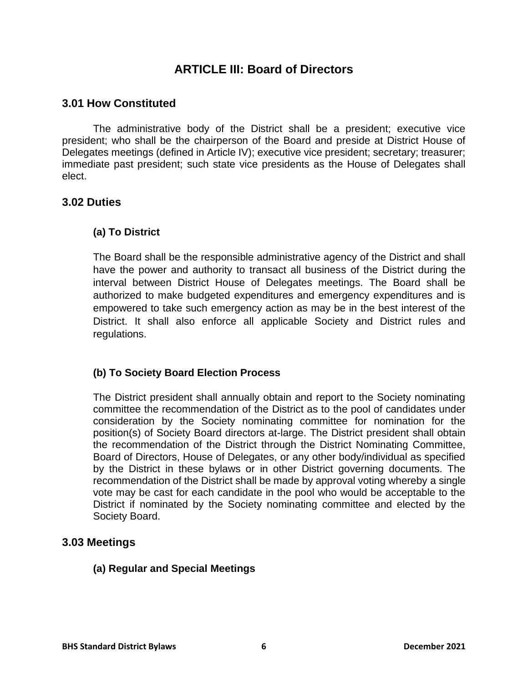## **ARTICLE III: Board of Directors**

## <span id="page-5-1"></span><span id="page-5-0"></span>**3.01 How Constituted**

The administrative body of the District shall be a president; executive vice president; who shall be the chairperson of the Board and preside at District House of Delegates meetings (defined in Article IV); executive vice president; secretary; treasurer; immediate past president; such state vice presidents as the House of Delegates shall elect.

## <span id="page-5-3"></span><span id="page-5-2"></span>**3.02 Duties**

## **(a) To District**

The Board shall be the responsible administrative agency of the District and shall have the power and authority to transact all business of the District during the interval between District House of Delegates meetings. The Board shall be authorized to make budgeted expenditures and emergency expenditures and is empowered to take such emergency action as may be in the best interest of the District. It shall also enforce all applicable Society and District rules and regulations.

#### <span id="page-5-4"></span>**(b) To Society Board Election Process**

The District president shall annually obtain and report to the Society nominating committee the recommendation of the District as to the pool of candidates under consideration by the Society nominating committee for nomination for the position(s) of Society Board directors at-large. The District president shall obtain the recommendation of the District through the District Nominating Committee, Board of Directors, House of Delegates, or any other body/individual as specified by the District in these bylaws or in other District governing documents. The recommendation of the District shall be made by approval voting whereby a single vote may be cast for each candidate in the pool who would be acceptable to the District if nominated by the Society nominating committee and elected by the Society Board.

#### <span id="page-5-6"></span><span id="page-5-5"></span>**3.03 Meetings**

#### **(a) Regular and Special Meetings**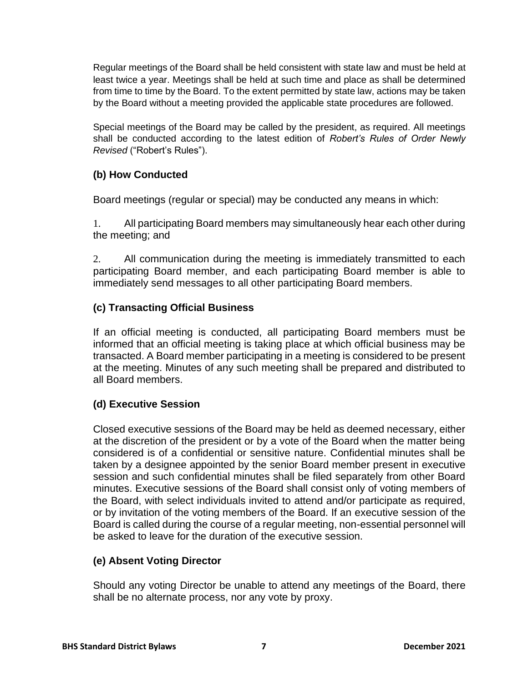Regular meetings of the Board shall be held consistent with state law and must be held at least twice a year. Meetings shall be held at such time and place as shall be determined from time to time by the Board. To the extent permitted by state law, actions may be taken by the Board without a meeting provided the applicable state procedures are followed.

Special meetings of the Board may be called by the president, as required. All meetings shall be conducted according to the latest edition of *Robert's Rules of Order Newly Revised* ("Robert's Rules").

## <span id="page-6-0"></span>**(b) How Conducted**

Board meetings (regular or special) may be conducted any means in which:

1. All participating Board members may simultaneously hear each other during the meeting; and

2. All communication during the meeting is immediately transmitted to each participating Board member, and each participating Board member is able to immediately send messages to all other participating Board members.

## <span id="page-6-1"></span>**(c) Transacting Official Business**

If an official meeting is conducted, all participating Board members must be informed that an official meeting is taking place at which official business may be transacted. A Board member participating in a meeting is considered to be present at the meeting. Minutes of any such meeting shall be prepared and distributed to all Board members.

## <span id="page-6-2"></span>**(d) Executive Session**

Closed executive sessions of the Board may be held as deemed necessary, either at the discretion of the president or by a vote of the Board when the matter being considered is of a confidential or sensitive nature. Confidential minutes shall be taken by a designee appointed by the senior Board member present in executive session and such confidential minutes shall be filed separately from other Board minutes. Executive sessions of the Board shall consist only of voting members of the Board, with select individuals invited to attend and/or participate as required, or by invitation of the voting members of the Board. If an executive session of the Board is called during the course of a regular meeting, non-essential personnel will be asked to leave for the duration of the executive session.

## <span id="page-6-3"></span>**(e) Absent Voting Director**

Should any voting Director be unable to attend any meetings of the Board, there shall be no alternate process, nor any vote by proxy.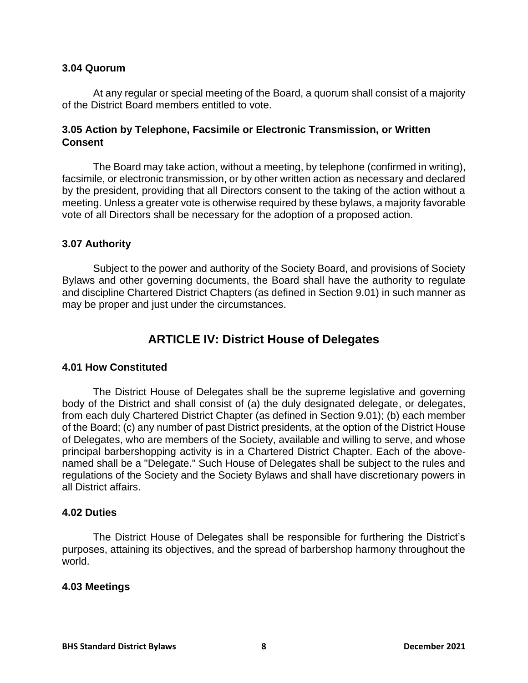#### <span id="page-7-0"></span>**3.04 Quorum**

At any regular or special meeting of the Board, a quorum shall consist of a majority of the District Board members entitled to vote.

#### <span id="page-7-1"></span>**3.05 Action by Telephone, Facsimile or Electronic Transmission, or Written Consent**

The Board may take action, without a meeting, by telephone (confirmed in writing), facsimile, or electronic transmission, or by other written action as necessary and declared by the president, providing that all Directors consent to the taking of the action without a meeting. Unless a greater vote is otherwise required by these bylaws, a majority favorable vote of all Directors shall be necessary for the adoption of a proposed action.

#### <span id="page-7-2"></span>**3.07 Authority**

Subject to the power and authority of the Society Board, and provisions of Society Bylaws and other governing documents, the Board shall have the authority to regulate and discipline Chartered District Chapters (as defined in Section 9.01) in such manner as may be proper and just under the circumstances.

## **ARTICLE IV: District House of Delegates**

#### <span id="page-7-4"></span><span id="page-7-3"></span>**4.01 How Constituted**

The District House of Delegates shall be the supreme legislative and governing body of the District and shall consist of (a) the duly designated delegate, or delegates, from each duly Chartered District Chapter (as defined in Section 9.01); (b) each member of the Board; (c) any number of past District presidents, at the option of the District House of Delegates, who are members of the Society, available and willing to serve, and whose principal barbershopping activity is in a Chartered District Chapter. Each of the abovenamed shall be a "Delegate." Such House of Delegates shall be subject to the rules and regulations of the Society and the Society Bylaws and shall have discretionary powers in all District affairs.

#### <span id="page-7-5"></span>**4.02 Duties**

The District House of Delegates shall be responsible for furthering the District's purposes, attaining its objectives, and the spread of barbershop harmony throughout the world.

#### <span id="page-7-6"></span>**4.03 Meetings**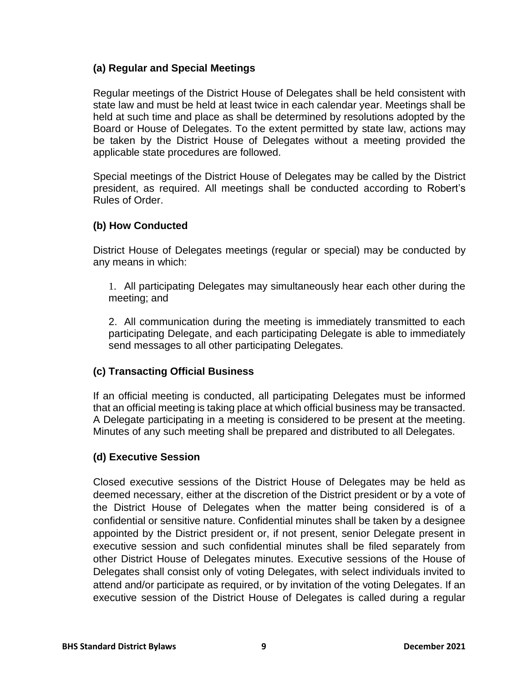#### <span id="page-8-0"></span>**(a) Regular and Special Meetings**

Regular meetings of the District House of Delegates shall be held consistent with state law and must be held at least twice in each calendar year. Meetings shall be held at such time and place as shall be determined by resolutions adopted by the Board or House of Delegates. To the extent permitted by state law, actions may be taken by the District House of Delegates without a meeting provided the applicable state procedures are followed.

Special meetings of the District House of Delegates may be called by the District president, as required. All meetings shall be conducted according to Robert's Rules of Order.

#### <span id="page-8-1"></span>**(b) How Conducted**

District House of Delegates meetings (regular or special) may be conducted by any means in which:

1. All participating Delegates may simultaneously hear each other during the meeting; and

2. All communication during the meeting is immediately transmitted to each participating Delegate, and each participating Delegate is able to immediately send messages to all other participating Delegates.

#### <span id="page-8-2"></span>**(c) Transacting Official Business**

If an official meeting is conducted, all participating Delegates must be informed that an official meeting is taking place at which official business may be transacted. A Delegate participating in a meeting is considered to be present at the meeting. Minutes of any such meeting shall be prepared and distributed to all Delegates.

## <span id="page-8-3"></span>**(d) Executive Session**

Closed executive sessions of the District House of Delegates may be held as deemed necessary, either at the discretion of the District president or by a vote of the District House of Delegates when the matter being considered is of a confidential or sensitive nature. Confidential minutes shall be taken by a designee appointed by the District president or, if not present, senior Delegate present in executive session and such confidential minutes shall be filed separately from other District House of Delegates minutes. Executive sessions of the House of Delegates shall consist only of voting Delegates, with select individuals invited to attend and/or participate as required, or by invitation of the voting Delegates. If an executive session of the District House of Delegates is called during a regular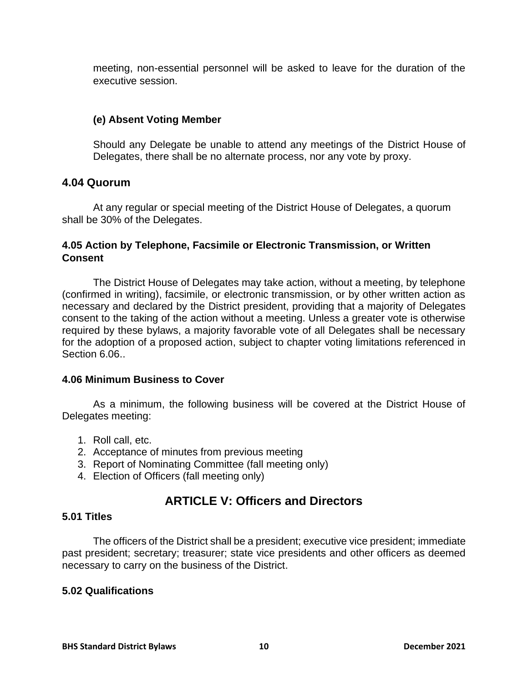meeting, non-essential personnel will be asked to leave for the duration of the executive session.

#### <span id="page-9-0"></span>**(e) Absent Voting Member**

Should any Delegate be unable to attend any meetings of the District House of Delegates, there shall be no alternate process, nor any vote by proxy.

#### <span id="page-9-1"></span>**4.04 Quorum**

At any regular or special meeting of the District House of Delegates, a quorum shall be 30% of the Delegates.

#### <span id="page-9-2"></span>**4.05 Action by Telephone, Facsimile or Electronic Transmission, or Written Consent**

The District House of Delegates may take action, without a meeting, by telephone (confirmed in writing), facsimile, or electronic transmission, or by other written action as necessary and declared by the District president, providing that a majority of Delegates consent to the taking of the action without a meeting. Unless a greater vote is otherwise required by these bylaws, a majority favorable vote of all Delegates shall be necessary for the adoption of a proposed action, subject to chapter voting limitations referenced in Section 6.06..

#### <span id="page-9-3"></span>**4.06 Minimum Business to Cover**

As a minimum, the following business will be covered at the District House of Delegates meeting:

- 1. Roll call, etc.
- 2. Acceptance of minutes from previous meeting
- 3. Report of Nominating Committee (fall meeting only)
- 4. Election of Officers (fall meeting only)

## **ARTICLE V: Officers and Directors**

#### <span id="page-9-5"></span><span id="page-9-4"></span>**5.01 Titles**

The officers of the District shall be a president; executive vice president; immediate past president; secretary; treasurer; state vice presidents and other officers as deemed necessary to carry on the business of the District.

#### <span id="page-9-6"></span>**5.02 Qualifications**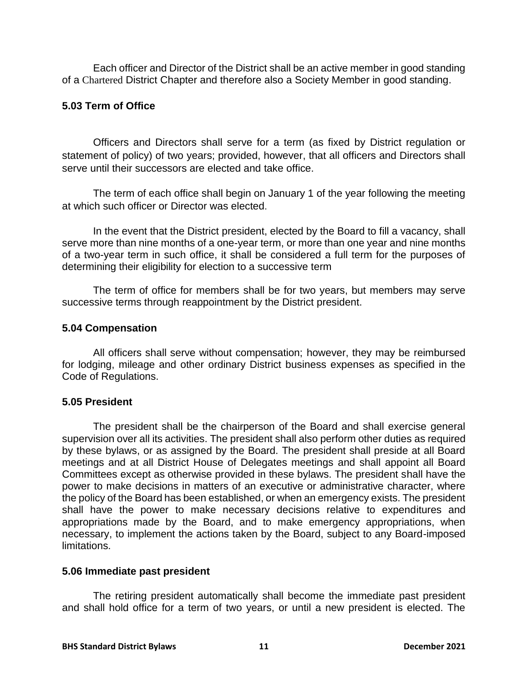Each officer and Director of the District shall be an active member in good standing of a Chartered District Chapter and therefore also a Society Member in good standing.

#### <span id="page-10-0"></span>**5.03 Term of Office**

Officers and Directors shall serve for a term (as fixed by District regulation or statement of policy) of two years; provided, however, that all officers and Directors shall serve until their successors are elected and take office.

The term of each office shall begin on January 1 of the year following the meeting at which such officer or Director was elected.

In the event that the District president, elected by the Board to fill a vacancy, shall serve more than nine months of a one-year term, or more than one year and nine months of a two-year term in such office, it shall be considered a full term for the purposes of determining their eligibility for election to a successive term

The term of office for members shall be for two years, but members may serve successive terms through reappointment by the District president.

#### <span id="page-10-1"></span>**5.04 Compensation**

All officers shall serve without compensation; however, they may be reimbursed for lodging, mileage and other ordinary District business expenses as specified in the Code of Regulations.

#### <span id="page-10-2"></span>**5.05 President**

The president shall be the chairperson of the Board and shall exercise general supervision over all its activities. The president shall also perform other duties as required by these bylaws, or as assigned by the Board. The president shall preside at all Board meetings and at all District House of Delegates meetings and shall appoint all Board Committees except as otherwise provided in these bylaws. The president shall have the power to make decisions in matters of an executive or administrative character, where the policy of the Board has been established, or when an emergency exists. The president shall have the power to make necessary decisions relative to expenditures and appropriations made by the Board, and to make emergency appropriations, when necessary, to implement the actions taken by the Board, subject to any Board-imposed limitations.

#### <span id="page-10-3"></span>**5.06 Immediate past president**

The retiring president automatically shall become the immediate past president and shall hold office for a term of two years, or until a new president is elected. The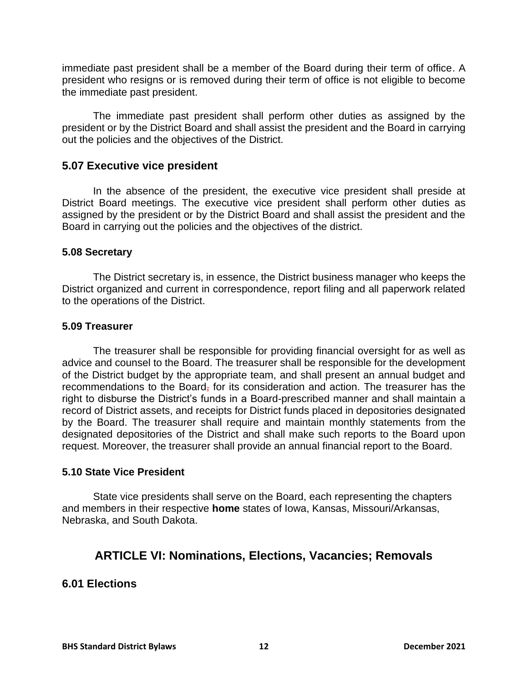immediate past president shall be a member of the Board during their term of office. A president who resigns or is removed during their term of office is not eligible to become the immediate past president.

The immediate past president shall perform other duties as assigned by the president or by the District Board and shall assist the president and the Board in carrying out the policies and the objectives of the District.

## <span id="page-11-0"></span>**5.07 Executive vice president**

In the absence of the president, the executive vice president shall preside at District Board meetings. The executive vice president shall perform other duties as assigned by the president or by the District Board and shall assist the president and the Board in carrying out the policies and the objectives of the district.

#### <span id="page-11-1"></span>**5.08 Secretary**

The District secretary is, in essence, the District business manager who keeps the District organized and current in correspondence, report filing and all paperwork related to the operations of the District.

#### <span id="page-11-2"></span>**5.09 Treasurer**

The treasurer shall be responsible for providing financial oversight for as well as advice and counsel to the Board. The treasurer shall be responsible for the development of the District budget by the appropriate team, and shall present an annual budget and recommendations to the Board, for its consideration and action. The treasurer has the right to disburse the District's funds in a Board-prescribed manner and shall maintain a record of District assets, and receipts for District funds placed in depositories designated by the Board. The treasurer shall require and maintain monthly statements from the designated depositories of the District and shall make such reports to the Board upon request. Moreover, the treasurer shall provide an annual financial report to the Board.

#### <span id="page-11-3"></span>**5.10 State Vice President**

State vice presidents shall serve on the Board, each representing the chapters and members in their respective **home** states of Iowa, Kansas, Missouri/Arkansas, Nebraska, and South Dakota.

## <span id="page-11-4"></span>**ARTICLE VI: Nominations, Elections, Vacancies; Removals**

#### <span id="page-11-5"></span>**6.01 Elections**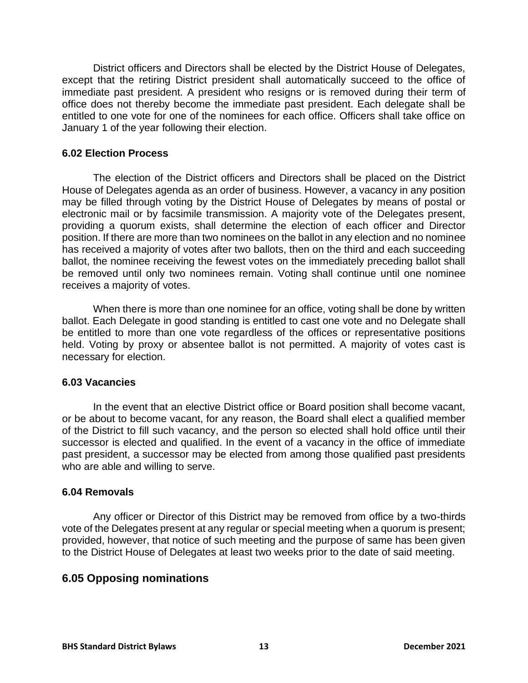District officers and Directors shall be elected by the District House of Delegates, except that the retiring District president shall automatically succeed to the office of immediate past president. A president who resigns or is removed during their term of office does not thereby become the immediate past president. Each delegate shall be entitled to one vote for one of the nominees for each office. Officers shall take office on January 1 of the year following their election.

#### <span id="page-12-0"></span>**6.02 Election Process**

The election of the District officers and Directors shall be placed on the District House of Delegates agenda as an order of business. However, a vacancy in any position may be filled through voting by the District House of Delegates by means of postal or electronic mail or by facsimile transmission. A majority vote of the Delegates present, providing a quorum exists, shall determine the election of each officer and Director position. If there are more than two nominees on the ballot in any election and no nominee has received a majority of votes after two ballots, then on the third and each succeeding ballot, the nominee receiving the fewest votes on the immediately preceding ballot shall be removed until only two nominees remain. Voting shall continue until one nominee receives a majority of votes.

When there is more than one nominee for an office, voting shall be done by written ballot. Each Delegate in good standing is entitled to cast one vote and no Delegate shall be entitled to more than one vote regardless of the offices or representative positions held. Voting by proxy or absentee ballot is not permitted. A majority of votes cast is necessary for election.

#### <span id="page-12-1"></span>**6.03 Vacancies**

In the event that an elective District office or Board position shall become vacant, or be about to become vacant, for any reason, the Board shall elect a qualified member of the District to fill such vacancy, and the person so elected shall hold office until their successor is elected and qualified. In the event of a vacancy in the office of immediate past president, a successor may be elected from among those qualified past presidents who are able and willing to serve.

#### <span id="page-12-2"></span>**6.04 Removals**

Any officer or Director of this District may be removed from office by a two-thirds vote of the Delegates present at any regular or special meeting when a quorum is present; provided, however, that notice of such meeting and the purpose of same has been given to the District House of Delegates at least two weeks prior to the date of said meeting.

## <span id="page-12-3"></span>**6.05 Opposing nominations**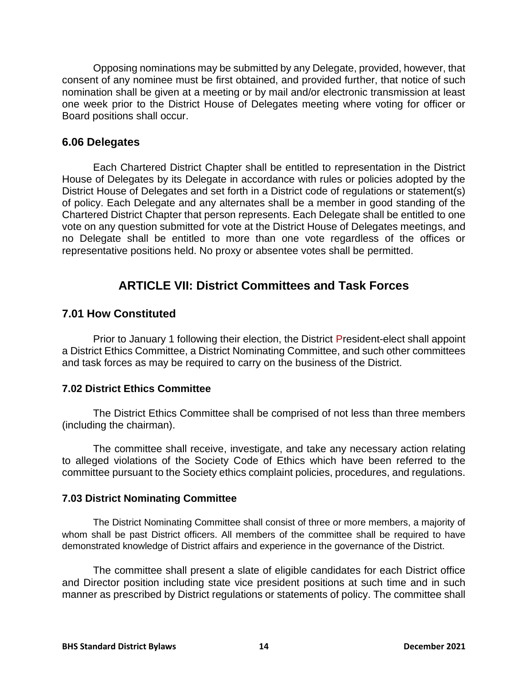Opposing nominations may be submitted by any Delegate, provided, however, that consent of any nominee must be first obtained, and provided further, that notice of such nomination shall be given at a meeting or by mail and/or electronic transmission at least one week prior to the District House of Delegates meeting where voting for officer or Board positions shall occur.

#### <span id="page-13-0"></span>**6.06 Delegates**

Each Chartered District Chapter shall be entitled to representation in the District House of Delegates by its Delegate in accordance with rules or policies adopted by the District House of Delegates and set forth in a District code of regulations or statement(s) of policy. Each Delegate and any alternates shall be a member in good standing of the Chartered District Chapter that person represents. Each Delegate shall be entitled to one vote on any question submitted for vote at the District House of Delegates meetings, and no Delegate shall be entitled to more than one vote regardless of the offices or representative positions held. No proxy or absentee votes shall be permitted.

## **ARTICLE VII: District Committees and Task Forces**

#### <span id="page-13-2"></span><span id="page-13-1"></span>**7.01 How Constituted**

Prior to January 1 following their election, the District President-elect shall appoint a District Ethics Committee, a District Nominating Committee, and such other committees and task forces as may be required to carry on the business of the District.

#### <span id="page-13-3"></span>**7.02 District Ethics Committee**

The District Ethics Committee shall be comprised of not less than three members (including the chairman).

The committee shall receive, investigate, and take any necessary action relating to alleged violations of the Society Code of Ethics which have been referred to the committee pursuant to the Society ethics complaint policies, procedures, and regulations.

#### <span id="page-13-4"></span>**7.03 District Nominating Committee**

The District Nominating Committee shall consist of three or more members, a majority of whom shall be past District officers. All members of the committee shall be required to have demonstrated knowledge of District affairs and experience in the governance of the District.

The committee shall present a slate of eligible candidates for each District office and Director position including state vice president positions at such time and in such manner as prescribed by District regulations or statements of policy. The committee shall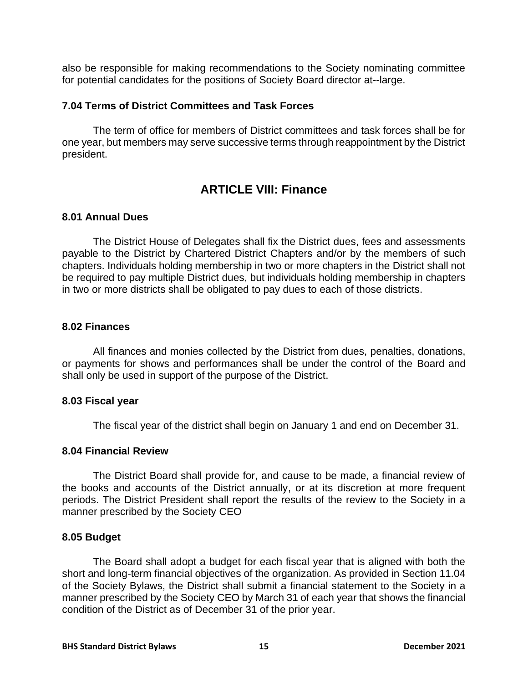also be responsible for making recommendations to the Society nominating committee for potential candidates for the positions of Society Board director at--large.

#### <span id="page-14-0"></span>**7.04 Terms of District Committees and Task Forces**

The term of office for members of District committees and task forces shall be for one year, but members may serve successive terms through reappointment by the District president.

## **ARTICLE VIII: Finance**

#### <span id="page-14-2"></span><span id="page-14-1"></span>**8.01 Annual Dues**

The District House of Delegates shall fix the District dues, fees and assessments payable to the District by Chartered District Chapters and/or by the members of such chapters. Individuals holding membership in two or more chapters in the District shall not be required to pay multiple District dues, but individuals holding membership in chapters in two or more districts shall be obligated to pay dues to each of those districts.

#### <span id="page-14-3"></span>**8.02 Finances**

All finances and monies collected by the District from dues, penalties, donations, or payments for shows and performances shall be under the control of the Board and shall only be used in support of the purpose of the District.

#### <span id="page-14-4"></span>**8.03 Fiscal year**

The fiscal year of the district shall begin on January 1 and end on December 31.

#### <span id="page-14-5"></span>**8.04 Financial Review**

The District Board shall provide for, and cause to be made, a financial review of the books and accounts of the District annually, or at its discretion at more frequent periods. The District President shall report the results of the review to the Society in a manner prescribed by the Society CEO

#### <span id="page-14-6"></span>**8.05 Budget**

The Board shall adopt a budget for each fiscal year that is aligned with both the short and long-term financial objectives of the organization. As provided in Section 11.04 of the Society Bylaws, the District shall submit a financial statement to the Society in a manner prescribed by the Society CEO by March 31 of each year that shows the financial condition of the District as of December 31 of the prior year.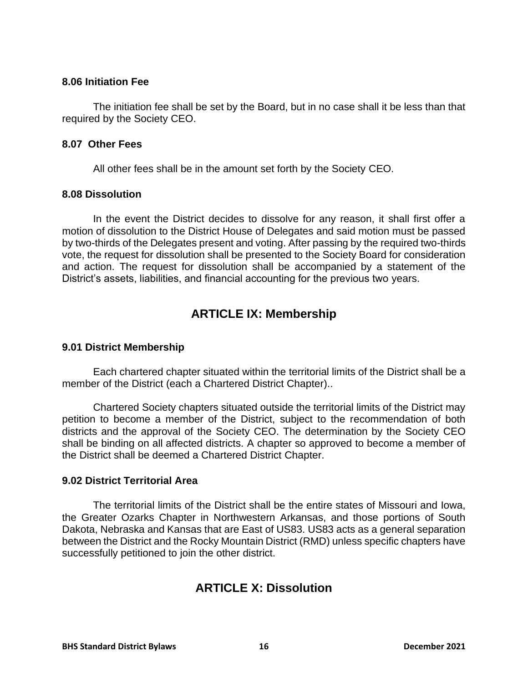#### <span id="page-15-0"></span>**8.06 Initiation Fee**

The initiation fee shall be set by the Board, but in no case shall it be less than that required by the Society CEO.

#### <span id="page-15-1"></span>**8.07 Other Fees**

All other fees shall be in the amount set forth by the Society CEO.

#### <span id="page-15-2"></span>**8.08 Dissolution**

In the event the District decides to dissolve for any reason, it shall first offer a motion of dissolution to the District House of Delegates and said motion must be passed by two-thirds of the Delegates present and voting. After passing by the required two-thirds vote, the request for dissolution shall be presented to the Society Board for consideration and action. The request for dissolution shall be accompanied by a statement of the District's assets, liabilities, and financial accounting for the previous two years.

## **ARTICLE IX: Membership**

#### <span id="page-15-4"></span><span id="page-15-3"></span>**9.01 District Membership**

Each chartered chapter situated within the territorial limits of the District shall be a member of the District (each a Chartered District Chapter)..

Chartered Society chapters situated outside the territorial limits of the District may petition to become a member of the District, subject to the recommendation of both districts and the approval of the Society CEO. The determination by the Society CEO shall be binding on all affected districts. A chapter so approved to become a member of the District shall be deemed a Chartered District Chapter.

#### <span id="page-15-5"></span>**9.02 District Territorial Area**

<span id="page-15-6"></span>The territorial limits of the District shall be the entire states of Missouri and Iowa, the Greater Ozarks Chapter in Northwestern Arkansas, and those portions of South Dakota, Nebraska and Kansas that are East of US83. US83 acts as a general separation between the District and the Rocky Mountain District (RMD) unless specific chapters have successfully petitioned to join the other district.

## **ARTICLE X: Dissolution**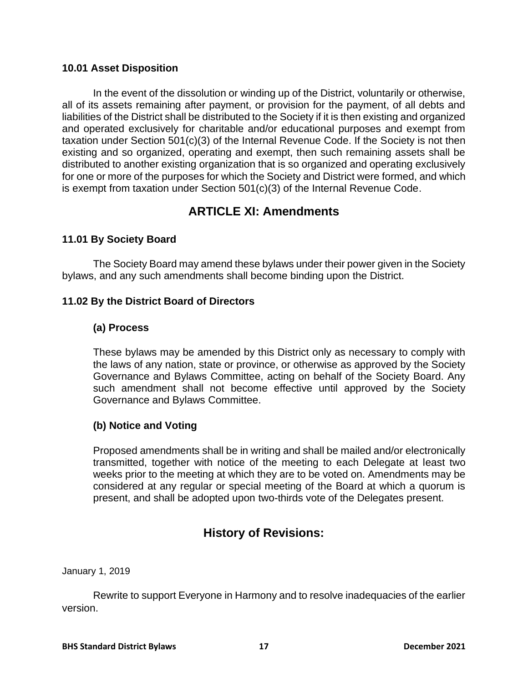#### <span id="page-16-0"></span>**10.01 Asset Disposition**

In the event of the dissolution or winding up of the District, voluntarily or otherwise, all of its assets remaining after payment, or provision for the payment, of all debts and liabilities of the District shall be distributed to the Society if it is then existing and organized and operated exclusively for charitable and/or educational purposes and exempt from taxation under Section 501(c)(3) of the Internal Revenue Code. If the Society is not then existing and so organized, operating and exempt, then such remaining assets shall be distributed to another existing organization that is so organized and operating exclusively for one or more of the purposes for which the Society and District were formed, and which is exempt from taxation under Section 501(c)(3) of the Internal Revenue Code.

## **ARTICLE XI: Amendments**

#### <span id="page-16-2"></span><span id="page-16-1"></span>**11.01 By Society Board**

The Society Board may amend these bylaws under their power given in the Society bylaws, and any such amendments shall become binding upon the District.

#### <span id="page-16-4"></span><span id="page-16-3"></span>**11.02 By the District Board of Directors**

#### **(a) Process**

These bylaws may be amended by this District only as necessary to comply with the laws of any nation, state or province, or otherwise as approved by the Society Governance and Bylaws Committee, acting on behalf of the Society Board. Any such amendment shall not become effective until approved by the Society Governance and Bylaws Committee.

#### <span id="page-16-5"></span>**(b) Notice and Voting**

Proposed amendments shall be in writing and shall be mailed and/or electronically transmitted, together with notice of the meeting to each Delegate at least two weeks prior to the meeting at which they are to be voted on. Amendments may be considered at any regular or special meeting of the Board at which a quorum is present, and shall be adopted upon two-thirds vote of the Delegates present.

## **History of Revisions:**

<span id="page-16-6"></span>January 1, 2019

Rewrite to support Everyone in Harmony and to resolve inadequacies of the earlier version.